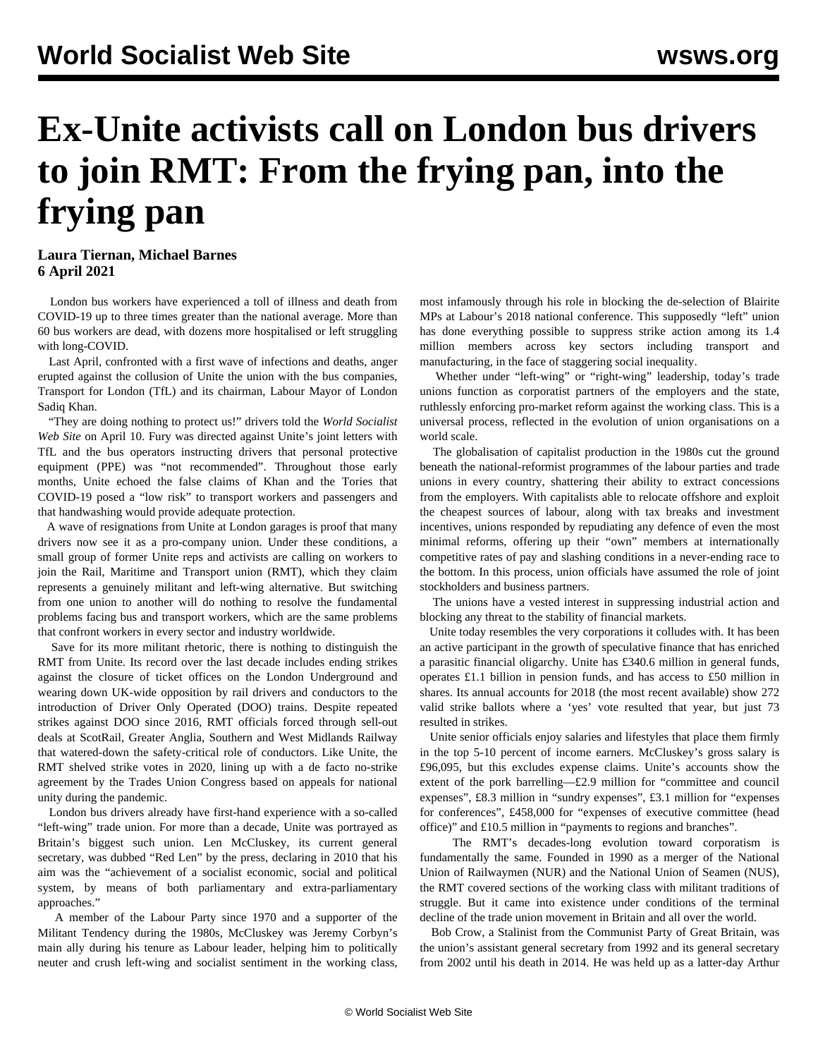## **Ex-Unite activists call on London bus drivers to join RMT: From the frying pan, into the frying pan**

## **Laura Tiernan, Michael Barnes 6 April 2021**

 London bus workers have experienced a toll of illness and death from COVID-19 up to three times greater than the national average. More than 60 bus workers are dead, with dozens more hospitalised or left struggling with long-COVID.

 Last April, confronted with a first wave of infections and deaths, anger erupted against the collusion of Unite the union with the bus companies, Transport for London (TfL) and its chairman, Labour Mayor of London Sadiq Khan.

 "They are doing nothing to protect us!" drivers told the *World Socialist Web Site* on [April 10](/en/articles/2020/04/10/inuk-a10.html). Fury was directed against Unite's joint letters with TfL and the bus operators instructing drivers that personal protective equipment (PPE) was "not recommended". Throughout those early months, Unite echoed the false claims of Khan and the Tories that COVID-19 posed a "low risk" to transport workers and passengers and that handwashing would provide adequate protection.

 A wave of resignations from Unite at London garages is proof that many drivers now see it as a pro-company union. Under these conditions, a small group of former Unite reps and activists are calling on workers to join the Rail, Maritime and Transport union (RMT), which they claim represents a genuinely militant and left-wing alternative. But switching from one union to another will do nothing to resolve the fundamental problems facing bus and transport workers, which are the same problems that confront workers in every sector and industry worldwide.

 Save for its more militant rhetoric, there is nothing to distinguish the RMT from Unite. Its record over the last decade includes ending strikes against the closure of ticket offices on the London Underground and wearing down UK-wide opposition by rail drivers and conductors to the introduction of Driver Only Operated (DOO) trains. Despite repeated strikes against DOO since 2016, RMT officials forced through sell-out deals at ScotRail, Greater Anglia, Southern and West Midlands Railway that watered-down the safety-critical role of conductors. Like Unite, the RMT shelved strike votes in 2020, lining up with a de facto no-strike agreement by the Trades Union Congress based on appeals for national unity during the pandemic.

 London bus drivers already have first-hand experience with a so-called "left-wing" trade union. For more than a decade, Unite was portrayed as Britain's biggest such union. Len McCluskey, its current general secretary, was dubbed "Red Len" by the press, declaring in 2010 that his aim was the "achievement of a socialist economic, social and political system, by means of both parliamentary and extra-parliamentary approaches."

 A member of the Labour Party since 1970 and a supporter of the Militant Tendency during the 1980s, McCluskey was Jeremy Corbyn's main ally during his tenure as Labour leader, helping him to politically neuter and crush left-wing and socialist sentiment in the working class, most infamously through his role in [blocking](/en/articles/2018/09/25/labo-s25.html) the de-selection of Blairite MPs at Labour's 2018 national conference. This supposedly "left" union has done everything possible to suppress strike action among its 1.4 million members across key sectors including transport and manufacturing, in the face of staggering social inequality.

 Whether under "left-wing" or "right-wing" leadership, today's trade unions function as corporatist partners of the employers and the state, ruthlessly enforcing pro-market reform against the working class. This is a universal process, reflected in the evolution of union organisations on a world scale.

 The globalisation of capitalist production in the 1980s cut the ground beneath the national-reformist programmes of the labour parties and trade unions in every country, shattering their ability to extract concessions from the employers. With capitalists able to relocate offshore and exploit the cheapest sources of labour, along with tax breaks and investment incentives, unions responded by repudiating any defence of even the most minimal reforms, offering up their "own" members at internationally competitive rates of pay and slashing conditions in a never-ending race to the bottom. In this process, union officials have assumed the role of joint stockholders and business partners.

 The unions have a vested interest in suppressing industrial action and blocking any threat to the stability of financial markets.

 Unite today resembles the very corporations it colludes with. It has been an active participant in the growth of speculative finance that has enriched a parasitic financial oligarchy. Unite has £340.6 million in general funds, operates £1.1 billion in pension funds, and has access to £50 million in shares. Its annual accounts for 2018 (the most recent available) show 272 valid strike ballots where a 'yes' vote resulted that year, but just 73 resulted in strikes.

 Unite senior officials enjoy salaries and lifestyles that place them firmly in the top 5-10 percent of income earners. McCluskey's gross salary is £96,095, but this excludes expense claims. Unite's accounts show the extent of the pork barrelling—£2.9 million for "committee and council expenses", £8.3 million in "sundry expenses", £3.1 million for "expenses for conferences", £458,000 for "expenses of executive committee (head office)" and £10.5 million in "payments to regions and branches".

 The RMT's decades-long evolution toward corporatism is fundamentally the same. Founded in 1990 as a merger of the National Union of Railwaymen (NUR) and the National Union of Seamen (NUS), the RMT covered sections of the working class with militant traditions of struggle. But it came into existence under conditions of the terminal decline of the trade union movement in Britain and all over the world.

 Bob Crow, a Stalinist from the Communist Party of Great Britain, was the union's assistant general secretary from 1992 and its general secretary from 2002 until his death in 2014. He was held up as a latter-day Arthur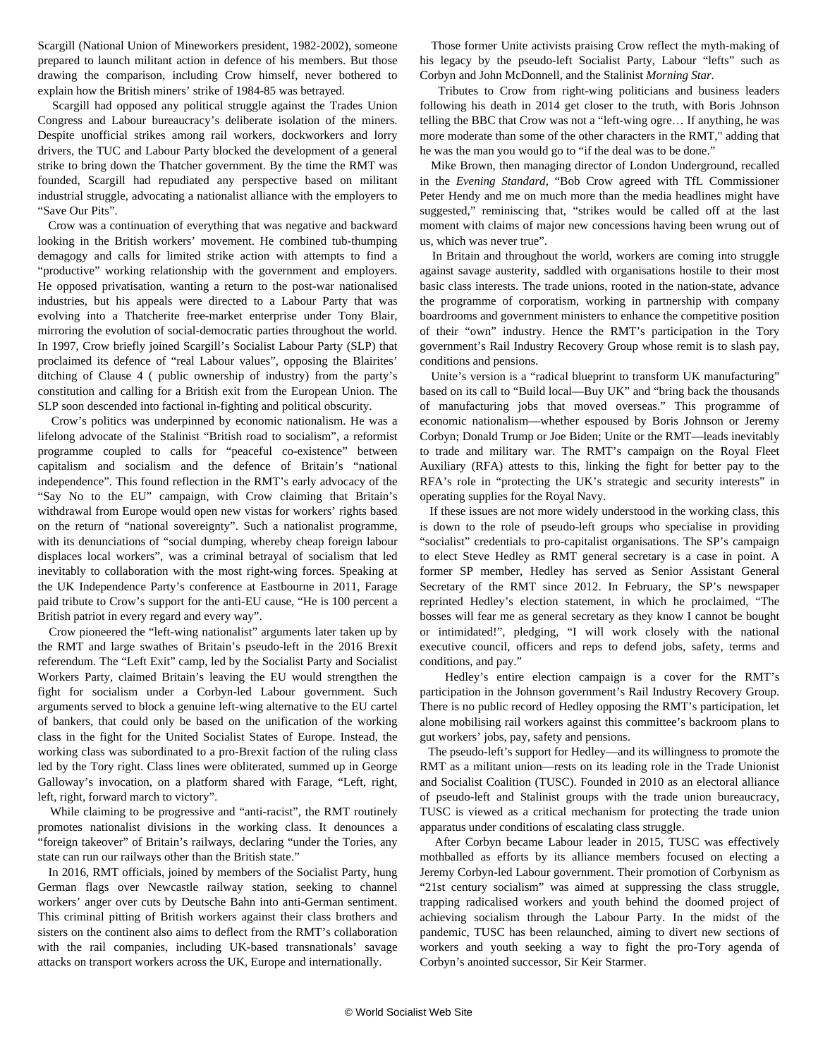Scargill (National Union of Mineworkers president, 1982-2002), someone prepared to launch militant action in defence of his members. But those drawing the comparison, including Crow himself, never bothered to explain [how the British miners' strike](/en/articles/2004/03/mine-m05.html) of 1984-85 was betrayed.

 Scargill had opposed any political struggle against the Trades Union Congress and Labour bureaucracy's deliberate isolation of the miners. Despite unofficial strikes among rail workers, dockworkers and lorry drivers, the TUC and Labour Party blocked the development of a general strike to bring down the Thatcher government. By the time the RMT was founded, Scargill had repudiated any perspective based on militant industrial struggle, advocating a nationalist alliance with the employers to "Save Our Pits".

 Crow was a continuation of everything that was negative and backward looking in the British workers' movement. He combined tub-thumping demagogy and calls for limited strike action with attempts to find a "productive" working relationship with the government and employers. He opposed privatisation, wanting a return to the post-war nationalised industries, but his appeals were directed to a Labour Party that was evolving into a Thatcherite free-market enterprise under Tony Blair, mirroring the evolution of social-democratic parties throughout the world. In 1997, Crow briefly joined Scargill's Socialist Labour Party (SLP) that proclaimed its defence of "real Labour values", opposing the Blairites' ditching of Clause 4 ( public ownership of industry) from the party's constitution and calling for a British exit from the European Union. The SLP soon descended into factional in-fighting and political obscurity.

 Crow's politics was underpinned by economic nationalism. He was a lifelong advocate of the Stalinist "British road to socialism", a reformist programme coupled to calls for "peaceful co-existence" between capitalism and socialism and the defence of Britain's "national independence". This found reflection in the RMT's early advocacy of the ["Say No to the EU"](/en/articles/2014/05/22/no2e-m22.html) campaign, with Crow claiming that Britain's withdrawal from Europe would open new vistas for workers' rights based on the return of "national sovereignty". Such a nationalist programme, with its denunciations of "social dumping, whereby cheap foreign labour displaces local workers", was a criminal betrayal of socialism that led inevitably to collaboration with the most right-wing forces. Speaking at the UK Independence Party's conference at Eastbourne in 2011, Farage paid tribute to Crow's support for the anti-EU cause, "He is 100 percent a British patriot in every regard and every way".

 Crow pioneered the "left-wing nationalist" arguments later taken up by the RMT and large swathes of Britain's pseudo-left in the 2016 Brexit referendum. The "Left Exit" camp, led by the Socialist Party and Socialist Workers Party, claimed Britain's leaving the EU would strengthen the fight for socialism under a Corbyn-led Labour government. Such arguments served to block a genuine left-wing alternative to the EU cartel of bankers, that could only be based on the unification of the working class in the fight for the United Socialist States of Europe. Instead, the working class was subordinated to a pro-Brexit faction of the ruling class led by the Tory right. Class lines were obliterated, summed up in George Galloway's invocation, on a platform shared with Farage, "Left, right, left, right, forward march to victory".

 While claiming to be progressive and "anti-racist", the RMT routinely promotes nationalist divisions in the working class. It denounces a "foreign takeover" of Britain's railways, declaring "under the Tories, any state can run our railways other than the British state."

 In 2016, RMT officials, joined by members of the Socialist Party, hung German flags over Newcastle railway station, seeking to channel workers' anger over cuts by Deutsche Bahn into anti-German sentiment. This criminal pitting of British workers against their class brothers and sisters on the continent also aims to deflect from the RMT's collaboration with the rail companies, including UK-based transnationals' savage attacks on transport workers across the UK, Europe and internationally.

 Those former Unite activists praising Crow reflect the myth-making of his legacy by the pseudo-left Socialist Party, Labour "lefts" such as Corbyn and John McDonnell, and the Stalinist *Morning Star*.

 Tributes to Crow from right-wing politicians and business leaders following his death in 2014 get closer to the truth, with Boris Johnson telling the BBC that Crow was not a "left-wing ogre… If anything, he was more moderate than some of the other characters in the RMT," adding that he was the man you would go to "if the deal was to be done."

 Mike Brown, then managing director of London Underground, recalled in the *Evening Standard*, "Bob Crow agreed with TfL Commissioner Peter Hendy and me on much more than the media headlines might have suggested," reminiscing that, "strikes would be called off at the last moment with claims of major new concessions having been wrung out of us, which was never true".

 In Britain and throughout the world, workers are coming into struggle against savage austerity, saddled with organisations hostile to their most basic class interests. The trade unions, rooted in the nation-state, advance the programme of corporatism, working in partnership with company boardrooms and government ministers to enhance the competitive position of their "own" industry. Hence the RMT's participation in the Tory government's Rail Industry Recovery Group whose remit is to slash pay, conditions and pensions.

 Unite's version is a "radical blueprint to transform UK manufacturing" based on its call to "Build local—Buy UK" and "bring back the thousands of manufacturing jobs that moved overseas." This programme of economic nationalism—whether espoused by Boris Johnson or Jeremy Corbyn; Donald Trump or Joe Biden; Unite or the RMT—leads inevitably to trade and military war. The RMT's campaign on the Royal Fleet Auxiliary (RFA) attests to this, linking the fight for better pay to the RFA's role in "protecting the UK's strategic and security interests" in operating supplies for the Royal Navy.

 If these issues are not more widely understood in the working class, this is down to the role of pseudo-left groups who specialise in providing "socialist" credentials to pro-capitalist organisations. The SP's campaign to elect Steve Hedley as RMT general secretary is a case in point. A former SP member, Hedley has served as Senior Assistant General Secretary of the RMT since 2012. In February, the SP's newspaper reprinted Hedley's election statement, in which he proclaimed, "The bosses will fear me as general secretary as they know I cannot be bought or intimidated!", pledging, "I will work closely with the national executive council, officers and reps to defend jobs, safety, terms and conditions, and pay."

 Hedley's entire election campaign is a cover for the RMT's participation in the Johnson government's Rail Industry Recovery Group. There is no public record of Hedley opposing the RMT's participation, let alone mobilising rail workers against this committee's backroom plans to gut workers' jobs, pay, safety and pensions.

 The pseudo-left's support for Hedley—and its willingness to promote the RMT as a militant union—rests on its leading role in the Trade Unionist and Socialist Coalition (TUSC). [Founded in 2010](/en/articles/2010/04/tusc-a19.html) as an electoral alliance of pseudo-left and Stalinist groups with the trade union bureaucracy, TUSC is viewed as a critical mechanism for protecting the trade union apparatus under conditions of escalating class struggle.

 After Corbyn became Labour leader in 2015, TUSC was effectively [mothballed](/en/articles/2017/02/16/tusc-f16.html) as efforts by its alliance members focused on electing a Jeremy Corbyn-led Labour government. Their promotion of Corbynism as "21st century socialism" was aimed at suppressing the class struggle, trapping radicalised workers and youth behind the doomed project of achieving socialism through the Labour Party. In the midst of the pandemic, TUSC has been relaunched, aiming to divert new sections of workers and youth seeking a way to fight the pro-Tory agenda of Corbyn's anointed successor, Sir Keir Starmer.